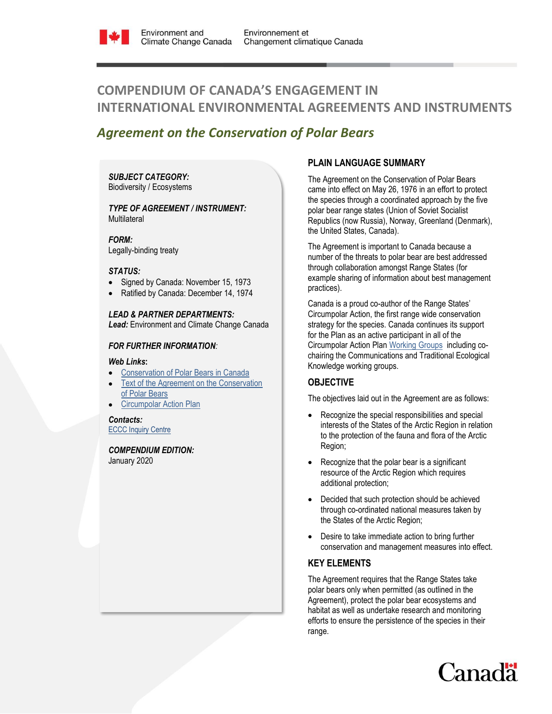

# **COMPENDIUM OF CANADA'S ENGAGEMENT IN INTERNATIONAL ENVIRONMENTAL AGREEMENTS AND INSTRUMENTS**

## *Agreement on the Conservation of Polar Bears*

#### *SUBJECT CATEGORY:*  Biodiversity / Ecosystems

#### *TYPE OF AGREEMENT / INSTRUMENT:*  **Multilateral**

*FORM:*

Legally-binding treaty

#### *STATUS:*

- Signed by Canada: November 15, 1973
- Ratified by Canada: December 14, 1974

## *LEAD & PARTNER DEPARTMENTS:*

*Lead:* Environment and Climate Change Canada

## *FOR FURTHER INFORMATION:*

#### *Web Links***:**

- [Conservation of Polar Bears in Canada](https://www.polarbearscanada.ca/en)
- [Text of the Agreement on the Conservation](https://polarbearagreement.org/resources/agreement/the-1973-agreement-on-the-conservation-of-polar-bears)  [of Polar Bears](https://polarbearagreement.org/resources/agreement/the-1973-agreement-on-the-conservation-of-polar-bears)
- [Circumpolar Action Plan](https://polarbearagreement.org/circumpolar-action-plan)

## *Contacts:*

[ECCC Inquiry Centre](https://www.canada.ca/en/environment-climate-change/corporate/contact.html)

*COMPENDIUM EDITION:*  January 2020

## **PLAIN LANGUAGE SUMMARY**

The Agreement on the Conservation of Polar Bears came into effect on May 26, 1976 in an effort to protect the species through a coordinated approach by the five polar bear range states (Union of Soviet Socialist Republics (now Russia), Norway, Greenland (Denmark), the United States, Canada).

The Agreement is important to Canada because a number of the threats to polar bear are best addressed through collaboration amongst Range States (for example sharing of information about best management practices).

Canada is a proud co-author of the Range States' Circumpolar Action, the first range wide conservation strategy for the species. Canada continues its support for the Plan as an active participant in all of the Circumpolar Action Plan [Working Groups](https://polarbearagreement.org/working-groups) including cochairing the Communications and Traditional Ecological Knowledge working groups.

## **OBJECTIVE**

The objectives laid out in the Agreement are as follows:

- Recognize the special responsibilities and special interests of the States of the Arctic Region in relation to the protection of the fauna and flora of the Arctic Region;
- Recognize that the polar bear is a significant resource of the Arctic Region which requires additional protection;
- Decided that such protection should be achieved through co-ordinated national measures taken by the States of the Arctic Region;
- Desire to take immediate action to bring further conservation and management measures into effect.

## **KEY ELEMENTS**

The Agreement requires that the Range States take polar bears only when permitted (as outlined in the Agreement), protect the polar bear ecosystems and habitat as well as undertake research and monitoring efforts to ensure the persistence of the species in their range.